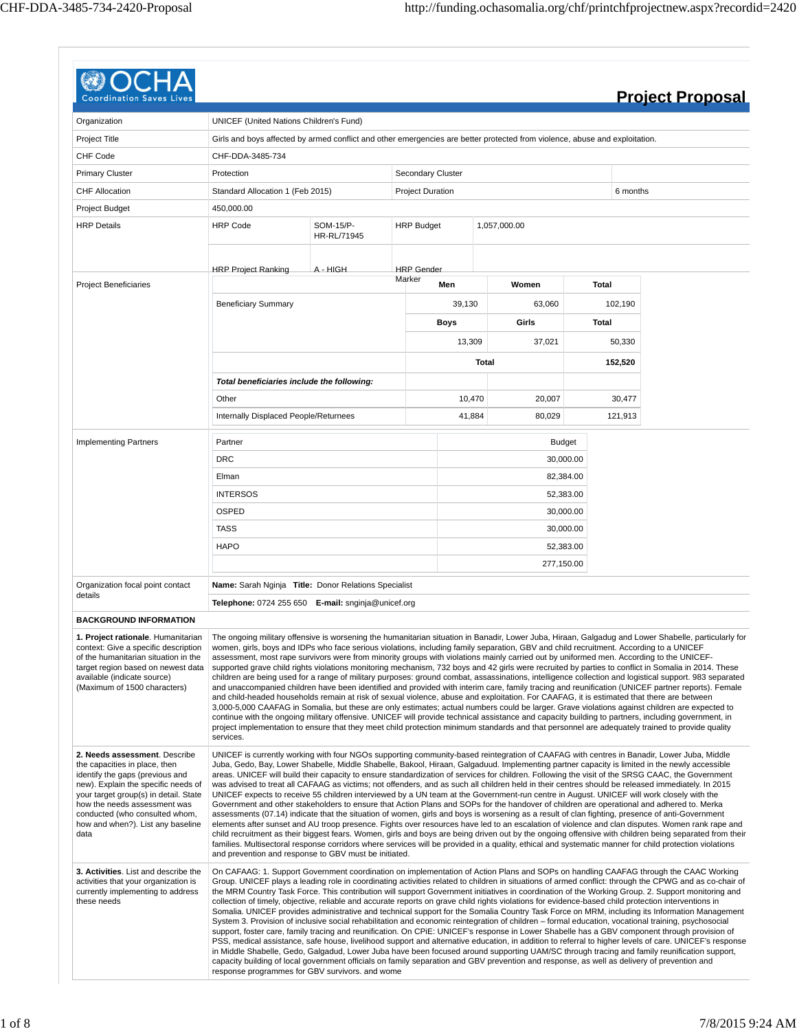| Coordination                                                                                                                                                                                                                                                                                     |                                                                                                                                                                                                                                                                                                                                                                                                                                                                                                                                                                                                                                                                                                                                                                                                                                                                                                                                                                                                                                                                                                                                                                                                                                                                    |                          |                         |            |       |               |       |          | <b>Project Proposal</b>                                                                                                                                                                                                                                                                                                                                                                                                                                                                                                                                                                                                |
|--------------------------------------------------------------------------------------------------------------------------------------------------------------------------------------------------------------------------------------------------------------------------------------------------|--------------------------------------------------------------------------------------------------------------------------------------------------------------------------------------------------------------------------------------------------------------------------------------------------------------------------------------------------------------------------------------------------------------------------------------------------------------------------------------------------------------------------------------------------------------------------------------------------------------------------------------------------------------------------------------------------------------------------------------------------------------------------------------------------------------------------------------------------------------------------------------------------------------------------------------------------------------------------------------------------------------------------------------------------------------------------------------------------------------------------------------------------------------------------------------------------------------------------------------------------------------------|--------------------------|-------------------------|------------|-------|---------------|-------|----------|------------------------------------------------------------------------------------------------------------------------------------------------------------------------------------------------------------------------------------------------------------------------------------------------------------------------------------------------------------------------------------------------------------------------------------------------------------------------------------------------------------------------------------------------------------------------------------------------------------------------|
| Organization                                                                                                                                                                                                                                                                                     | UNICEF (United Nations Children's Fund)                                                                                                                                                                                                                                                                                                                                                                                                                                                                                                                                                                                                                                                                                                                                                                                                                                                                                                                                                                                                                                                                                                                                                                                                                            |                          |                         |            |       |               |       |          |                                                                                                                                                                                                                                                                                                                                                                                                                                                                                                                                                                                                                        |
|                                                                                                                                                                                                                                                                                                  |                                                                                                                                                                                                                                                                                                                                                                                                                                                                                                                                                                                                                                                                                                                                                                                                                                                                                                                                                                                                                                                                                                                                                                                                                                                                    |                          |                         |            |       |               |       |          |                                                                                                                                                                                                                                                                                                                                                                                                                                                                                                                                                                                                                        |
| Project Title                                                                                                                                                                                                                                                                                    | Girls and boys affected by armed conflict and other emergencies are better protected from violence, abuse and exploitation.                                                                                                                                                                                                                                                                                                                                                                                                                                                                                                                                                                                                                                                                                                                                                                                                                                                                                                                                                                                                                                                                                                                                        |                          |                         |            |       |               |       |          |                                                                                                                                                                                                                                                                                                                                                                                                                                                                                                                                                                                                                        |
| <b>CHF Code</b>                                                                                                                                                                                                                                                                                  | CHF-DDA-3485-734                                                                                                                                                                                                                                                                                                                                                                                                                                                                                                                                                                                                                                                                                                                                                                                                                                                                                                                                                                                                                                                                                                                                                                                                                                                   |                          |                         |            |       |               |       |          |                                                                                                                                                                                                                                                                                                                                                                                                                                                                                                                                                                                                                        |
| <b>Primary Cluster</b>                                                                                                                                                                                                                                                                           | Protection                                                                                                                                                                                                                                                                                                                                                                                                                                                                                                                                                                                                                                                                                                                                                                                                                                                                                                                                                                                                                                                                                                                                                                                                                                                         |                          | Secondary Cluster       |            |       |               |       |          |                                                                                                                                                                                                                                                                                                                                                                                                                                                                                                                                                                                                                        |
| <b>CHF Allocation</b>                                                                                                                                                                                                                                                                            | Standard Allocation 1 (Feb 2015)                                                                                                                                                                                                                                                                                                                                                                                                                                                                                                                                                                                                                                                                                                                                                                                                                                                                                                                                                                                                                                                                                                                                                                                                                                   |                          | <b>Project Duration</b> |            |       |               |       | 6 months |                                                                                                                                                                                                                                                                                                                                                                                                                                                                                                                                                                                                                        |
| <b>Project Budget</b>                                                                                                                                                                                                                                                                            | 450,000.00                                                                                                                                                                                                                                                                                                                                                                                                                                                                                                                                                                                                                                                                                                                                                                                                                                                                                                                                                                                                                                                                                                                                                                                                                                                         |                          |                         |            |       |               |       |          |                                                                                                                                                                                                                                                                                                                                                                                                                                                                                                                                                                                                                        |
| <b>HRP Details</b>                                                                                                                                                                                                                                                                               | <b>HRP Code</b>                                                                                                                                                                                                                                                                                                                                                                                                                                                                                                                                                                                                                                                                                                                                                                                                                                                                                                                                                                                                                                                                                                                                                                                                                                                    | SOM-15/P-<br>HR-RL/71945 | <b>HRP Budget</b>       |            |       | 1,057,000.00  |       |          |                                                                                                                                                                                                                                                                                                                                                                                                                                                                                                                                                                                                                        |
|                                                                                                                                                                                                                                                                                                  |                                                                                                                                                                                                                                                                                                                                                                                                                                                                                                                                                                                                                                                                                                                                                                                                                                                                                                                                                                                                                                                                                                                                                                                                                                                                    | A - HIGH                 | <b>HRP</b> Gender       |            |       |               |       |          |                                                                                                                                                                                                                                                                                                                                                                                                                                                                                                                                                                                                                        |
| <b>Project Beneficiaries</b>                                                                                                                                                                                                                                                                     | <b>HRP Project Ranking</b>                                                                                                                                                                                                                                                                                                                                                                                                                                                                                                                                                                                                                                                                                                                                                                                                                                                                                                                                                                                                                                                                                                                                                                                                                                         |                          | Marker                  | Men        |       | Women         | Total |          |                                                                                                                                                                                                                                                                                                                                                                                                                                                                                                                                                                                                                        |
|                                                                                                                                                                                                                                                                                                  | <b>Beneficiary Summary</b>                                                                                                                                                                                                                                                                                                                                                                                                                                                                                                                                                                                                                                                                                                                                                                                                                                                                                                                                                                                                                                                                                                                                                                                                                                         |                          |                         | 39,130     |       | 63,060        |       | 102,190  |                                                                                                                                                                                                                                                                                                                                                                                                                                                                                                                                                                                                                        |
|                                                                                                                                                                                                                                                                                                  |                                                                                                                                                                                                                                                                                                                                                                                                                                                                                                                                                                                                                                                                                                                                                                                                                                                                                                                                                                                                                                                                                                                                                                                                                                                                    |                          |                         | Boys       |       | Girls         | Total |          |                                                                                                                                                                                                                                                                                                                                                                                                                                                                                                                                                                                                                        |
|                                                                                                                                                                                                                                                                                                  |                                                                                                                                                                                                                                                                                                                                                                                                                                                                                                                                                                                                                                                                                                                                                                                                                                                                                                                                                                                                                                                                                                                                                                                                                                                                    |                          |                         | 13,309     |       | 37,021        |       | 50,330   |                                                                                                                                                                                                                                                                                                                                                                                                                                                                                                                                                                                                                        |
|                                                                                                                                                                                                                                                                                                  |                                                                                                                                                                                                                                                                                                                                                                                                                                                                                                                                                                                                                                                                                                                                                                                                                                                                                                                                                                                                                                                                                                                                                                                                                                                                    |                          |                         |            | Total |               |       | 152,520  |                                                                                                                                                                                                                                                                                                                                                                                                                                                                                                                                                                                                                        |
|                                                                                                                                                                                                                                                                                                  | Total beneficiaries include the following:                                                                                                                                                                                                                                                                                                                                                                                                                                                                                                                                                                                                                                                                                                                                                                                                                                                                                                                                                                                                                                                                                                                                                                                                                         |                          |                         |            |       |               |       |          |                                                                                                                                                                                                                                                                                                                                                                                                                                                                                                                                                                                                                        |
|                                                                                                                                                                                                                                                                                                  | Other                                                                                                                                                                                                                                                                                                                                                                                                                                                                                                                                                                                                                                                                                                                                                                                                                                                                                                                                                                                                                                                                                                                                                                                                                                                              |                          |                         | 10,470     |       | 20,007        |       | 30,477   |                                                                                                                                                                                                                                                                                                                                                                                                                                                                                                                                                                                                                        |
|                                                                                                                                                                                                                                                                                                  | Internally Displaced People/Returnees                                                                                                                                                                                                                                                                                                                                                                                                                                                                                                                                                                                                                                                                                                                                                                                                                                                                                                                                                                                                                                                                                                                                                                                                                              |                          |                         | 41,884     |       | 80,029        |       | 121,913  |                                                                                                                                                                                                                                                                                                                                                                                                                                                                                                                                                                                                                        |
| <b>Implementing Partners</b>                                                                                                                                                                                                                                                                     | Partner                                                                                                                                                                                                                                                                                                                                                                                                                                                                                                                                                                                                                                                                                                                                                                                                                                                                                                                                                                                                                                                                                                                                                                                                                                                            |                          |                         |            |       | <b>Budget</b> |       |          |                                                                                                                                                                                                                                                                                                                                                                                                                                                                                                                                                                                                                        |
|                                                                                                                                                                                                                                                                                                  | <b>DRC</b>                                                                                                                                                                                                                                                                                                                                                                                                                                                                                                                                                                                                                                                                                                                                                                                                                                                                                                                                                                                                                                                                                                                                                                                                                                                         |                          |                         |            |       | 30,000.00     |       |          |                                                                                                                                                                                                                                                                                                                                                                                                                                                                                                                                                                                                                        |
|                                                                                                                                                                                                                                                                                                  | Elman                                                                                                                                                                                                                                                                                                                                                                                                                                                                                                                                                                                                                                                                                                                                                                                                                                                                                                                                                                                                                                                                                                                                                                                                                                                              |                          |                         |            |       | 82,384.00     |       |          |                                                                                                                                                                                                                                                                                                                                                                                                                                                                                                                                                                                                                        |
|                                                                                                                                                                                                                                                                                                  | <b>INTERSOS</b>                                                                                                                                                                                                                                                                                                                                                                                                                                                                                                                                                                                                                                                                                                                                                                                                                                                                                                                                                                                                                                                                                                                                                                                                                                                    |                          |                         |            |       | 52,383.00     |       |          |                                                                                                                                                                                                                                                                                                                                                                                                                                                                                                                                                                                                                        |
|                                                                                                                                                                                                                                                                                                  | OSPED                                                                                                                                                                                                                                                                                                                                                                                                                                                                                                                                                                                                                                                                                                                                                                                                                                                                                                                                                                                                                                                                                                                                                                                                                                                              |                          |                         | 30,000.00  |       |               |       |          |                                                                                                                                                                                                                                                                                                                                                                                                                                                                                                                                                                                                                        |
|                                                                                                                                                                                                                                                                                                  | <b>TASS</b>                                                                                                                                                                                                                                                                                                                                                                                                                                                                                                                                                                                                                                                                                                                                                                                                                                                                                                                                                                                                                                                                                                                                                                                                                                                        |                          |                         | 30,000.00  |       |               |       |          |                                                                                                                                                                                                                                                                                                                                                                                                                                                                                                                                                                                                                        |
|                                                                                                                                                                                                                                                                                                  | <b>HAPO</b>                                                                                                                                                                                                                                                                                                                                                                                                                                                                                                                                                                                                                                                                                                                                                                                                                                                                                                                                                                                                                                                                                                                                                                                                                                                        |                          |                         | 52,383.00  |       |               |       |          |                                                                                                                                                                                                                                                                                                                                                                                                                                                                                                                                                                                                                        |
|                                                                                                                                                                                                                                                                                                  |                                                                                                                                                                                                                                                                                                                                                                                                                                                                                                                                                                                                                                                                                                                                                                                                                                                                                                                                                                                                                                                                                                                                                                                                                                                                    |                          |                         | 277,150.00 |       |               |       |          |                                                                                                                                                                                                                                                                                                                                                                                                                                                                                                                                                                                                                        |
| Organization focal point contact                                                                                                                                                                                                                                                                 | Name: Sarah Nginja Title: Donor Relations Specialist                                                                                                                                                                                                                                                                                                                                                                                                                                                                                                                                                                                                                                                                                                                                                                                                                                                                                                                                                                                                                                                                                                                                                                                                               |                          |                         |            |       |               |       |          |                                                                                                                                                                                                                                                                                                                                                                                                                                                                                                                                                                                                                        |
| details                                                                                                                                                                                                                                                                                          | Telephone: 0724 255 650 E-mail: snginja@unicef.org                                                                                                                                                                                                                                                                                                                                                                                                                                                                                                                                                                                                                                                                                                                                                                                                                                                                                                                                                                                                                                                                                                                                                                                                                 |                          |                         |            |       |               |       |          |                                                                                                                                                                                                                                                                                                                                                                                                                                                                                                                                                                                                                        |
| <b>BACKGROUND INFORMATION</b>                                                                                                                                                                                                                                                                    |                                                                                                                                                                                                                                                                                                                                                                                                                                                                                                                                                                                                                                                                                                                                                                                                                                                                                                                                                                                                                                                                                                                                                                                                                                                                    |                          |                         |            |       |               |       |          |                                                                                                                                                                                                                                                                                                                                                                                                                                                                                                                                                                                                                        |
| 1. Project rationale. Humanitarian<br>context: Give a specific description<br>of the humanitarian situation in the<br>target region based on newest data<br>available (indicate source)<br>(Maximum of 1500 characters)                                                                          | women, girls, boys and IDPs who face serious violations, including family separation, GBV and child recruitment. According to a UNICEF<br>assessment, most rape survivors were from minority groups with violations mainly carried out by uniformed men. According to the UNICEF-<br>supported grave child rights violations monitoring mechanism, 732 boys and 42 girls were recruited by parties to conflict in Somalia in 2014. These<br>and child-headed households remain at risk of sexual violence, abuse and exploitation. For CAAFAG, it is estimated that there are between<br>3,000-5,000 CAAFAG in Somalia, but these are only estimates; actual numbers could be larger. Grave violations against children are expected to<br>continue with the ongoing military offensive. UNICEF will provide technical assistance and capacity building to partners, including government, in<br>project implementation to ensure that they meet child protection minimum standards and that personnel are adequately trained to provide quality<br>services.                                                                                                                                                                                                      |                          |                         |            |       |               |       |          | The ongoing military offensive is worsening the humanitarian situation in Banadir, Lower Juba, Hiraan, Galgadug and Lower Shabelle, particularly for<br>children are being used for a range of military purposes: ground combat, assassinations, intelligence collection and logistical support. 983 separated<br>and unaccompanied children have been identified and provided with interim care, family tracing and reunification (UNICEF partner reports). Female                                                                                                                                                    |
| 2. Needs assessment. Describe<br>the capacities in place, then<br>identify the gaps (previous and<br>new). Explain the specific needs of<br>your target group(s) in detail. State<br>how the needs assessment was<br>conducted (who consulted whom,<br>how and when?). List any baseline<br>data | UNICEF is currently working with four NGOs supporting community-based reintegration of CAAFAG with centres in Banadir, Lower Juba, Middle<br>Juba, Gedo, Bay, Lower Shabelle, Middle Shabelle, Bakool, Hiraan, Galgaduud. Implementing partner capacity is limited in the newly accessible<br>areas. UNICEF will build their capacity to ensure standardization of services for children. Following the visit of the SRSG CAAC, the Government<br>was advised to treat all CAFAAG as victims; not offenders, and as such all children held in their centres should be released immediately. In 2015<br>UNICEF expects to receive 55 children interviewed by a UN team at the Government-run centre in August. UNICEF will work closely with the<br>Government and other stakeholders to ensure that Action Plans and SOPs for the handover of children are operational and adhered to. Merka<br>assessments (07.14) indicate that the situation of women, girls and boys is worsening as a result of clan fighting, presence of anti-Government<br>families. Multisectoral response corridors where services will be provided in a quality, ethical and systematic manner for child protection violations<br>and prevention and response to GBV must be initiated. |                          |                         |            |       |               |       |          | elements after sunset and AU troop presence. Fights over resources have led to an escalation of violence and clan disputes. Women rank rape and<br>child recruitment as their biggest fears. Women, girls and boys are being driven out by the ongoing offensive with children being separated from their                                                                                                                                                                                                                                                                                                              |
| 3. Activities. List and describe the<br>activities that your organization is<br>currently implementing to address<br>these needs                                                                                                                                                                 | On CAFAAG: 1. Support Government coordination on implementation of Action Plans and SOPs on handling CAAFAG through the CAAC Working<br>collection of timely, objective, reliable and accurate reports on grave child rights violations for evidence-based child protection interventions in<br>System 3. Provision of inclusive social rehabilitation and economic reintegration of children – formal education, vocational training, psychosocial<br>support, foster care, family tracing and reunification. On CPIE: UNICEF's response in Lower Shabelle has a GBV component through provision of<br>in Middle Shabelle, Gedo, Galgadud, Lower Juba have been focused around supporting UAM/SC through tracing and family reunification support,<br>capacity building of local government officials on family separation and GBV prevention and response, as well as delivery of prevention and<br>response programmes for GBV survivors, and wome                                                                                                                                                                                                                                                                                                              |                          |                         |            |       |               |       |          | Group. UNICEF plays a leading role in coordinating activities related to children in situations of armed conflict: through the CPWG and as co-chair of<br>the MRM Country Task Force. This contribution will support Government initiatives in coordination of the Working Group. 2. Support monitoring and<br>Somalia. UNICEF provides administrative and technical support for the Somalia Country Task Force on MRM, including its Information Management<br>PSS, medical assistance, safe house, livelihood support and alternative education, in addition to referral to higher levels of care. UNICEF's response |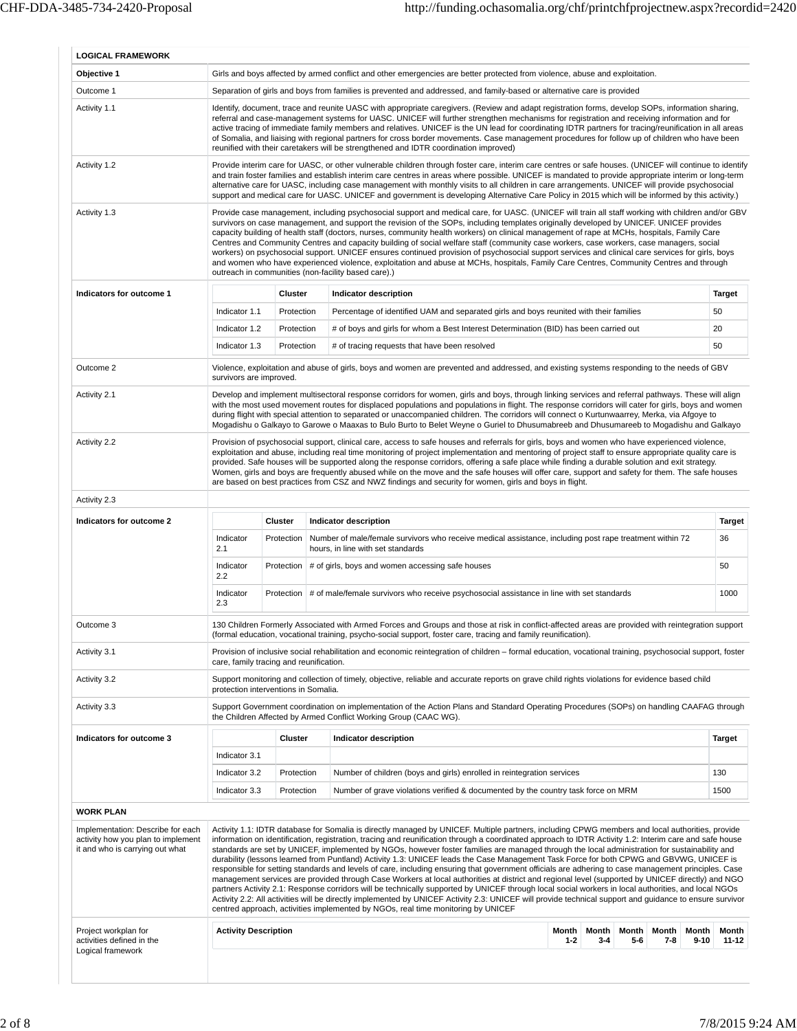| Objective 1                                                                                                                                                                                                        |                                         |            | Girls and boys affected by armed conflict and other emergencies are better protected from violence, abuse and exploitation.                                                                                                                                                                                                                                                                                                                                                                                                                                                                                                                                                                                                                                                                                                                                                                                                                                                                                                                                                                                                                                                                                                                                                                                             |                |       |       |       |               |
|--------------------------------------------------------------------------------------------------------------------------------------------------------------------------------------------------------------------|-----------------------------------------|------------|-------------------------------------------------------------------------------------------------------------------------------------------------------------------------------------------------------------------------------------------------------------------------------------------------------------------------------------------------------------------------------------------------------------------------------------------------------------------------------------------------------------------------------------------------------------------------------------------------------------------------------------------------------------------------------------------------------------------------------------------------------------------------------------------------------------------------------------------------------------------------------------------------------------------------------------------------------------------------------------------------------------------------------------------------------------------------------------------------------------------------------------------------------------------------------------------------------------------------------------------------------------------------------------------------------------------------|----------------|-------|-------|-------|---------------|
| Outcome 1                                                                                                                                                                                                          |                                         |            | Separation of girls and boys from families is prevented and addressed, and family-based or alternative care is provided                                                                                                                                                                                                                                                                                                                                                                                                                                                                                                                                                                                                                                                                                                                                                                                                                                                                                                                                                                                                                                                                                                                                                                                                 |                |       |       |       |               |
| Activity 1.1                                                                                                                                                                                                       |                                         |            | Identify, document, trace and reunite UASC with appropriate caregivers. (Review and adapt registration forms, develop SOPs, information sharing,<br>referral and case-management systems for UASC. UNICEF will further strengthen mechanisms for registration and receiving information and for<br>active tracing of immediate family members and relatives. UNICEF is the UN lead for coordinating IDTR partners for tracing/reunification in all areas<br>of Somalia, and liaising with regional partners for cross border movements. Case management procedures for follow up of children who have been<br>reunified with their caretakers will be strengthened and IDTR coordination improved)                                                                                                                                                                                                                                                                                                                                                                                                                                                                                                                                                                                                                      |                |       |       |       |               |
| Activity 1.2                                                                                                                                                                                                       |                                         |            | Provide interim care for UASC, or other vulnerable children through foster care, interim care centres or safe houses. (UNICEF will continue to identify<br>and train foster families and establish interim care centres in areas where possible. UNICEF is mandated to provide appropriate interim or long-term<br>alternative care for UASC, including case management with monthly visits to all children in care arrangements. UNICEF will provide psychosocial<br>support and medical care for UASC. UNICEF and government is developing Alternative Care Policy in 2015 which will be informed by this activity.)                                                                                                                                                                                                                                                                                                                                                                                                                                                                                                                                                                                                                                                                                                  |                |       |       |       |               |
| Activity 1.3                                                                                                                                                                                                       |                                         |            | Provide case management, including psychosocial support and medical care, for UASC. (UNICEF will train all staff working with children and/or GBV<br>survivors on case management, and support the revision of the SOPs, including templates originally developed by UNICEF. UNICEF provides<br>capacity building of health staff (doctors, nurses, community health workers) on clinical management of rape at MCHs, hospitals, Family Care<br>Centres and Community Centres and capacity building of social welfare staff (community case workers, case workers, case managers, social<br>workers) on psychosocial support. UNICEF ensures continued provision of psychosocial support services and clinical care services for girls, boys<br>and women who have experienced violence, exploitation and abuse at MCHs, hospitals, Family Care Centres, Community Centres and through<br>outreach in communities (non-facility based care).)                                                                                                                                                                                                                                                                                                                                                                           |                |       |       |       |               |
| Indicators for outcome 1                                                                                                                                                                                           |                                         | Cluster    | Indicator description                                                                                                                                                                                                                                                                                                                                                                                                                                                                                                                                                                                                                                                                                                                                                                                                                                                                                                                                                                                                                                                                                                                                                                                                                                                                                                   |                |       |       |       | <b>Target</b> |
|                                                                                                                                                                                                                    | Indicator 1.1                           | Protection | Percentage of identified UAM and separated girls and boys reunited with their families                                                                                                                                                                                                                                                                                                                                                                                                                                                                                                                                                                                                                                                                                                                                                                                                                                                                                                                                                                                                                                                                                                                                                                                                                                  |                |       |       |       | 50            |
|                                                                                                                                                                                                                    | Indicator 1.2                           | Protection | # of boys and girls for whom a Best Interest Determination (BID) has been carried out                                                                                                                                                                                                                                                                                                                                                                                                                                                                                                                                                                                                                                                                                                                                                                                                                                                                                                                                                                                                                                                                                                                                                                                                                                   |                |       |       |       | 20            |
|                                                                                                                                                                                                                    | Indicator 1.3                           | Protection | # of tracing requests that have been resolved                                                                                                                                                                                                                                                                                                                                                                                                                                                                                                                                                                                                                                                                                                                                                                                                                                                                                                                                                                                                                                                                                                                                                                                                                                                                           |                |       |       |       | 50            |
| Outcome 2                                                                                                                                                                                                          |                                         |            | Violence, exploitation and abuse of girls, boys and women are prevented and addressed, and existing systems responding to the needs of GBV                                                                                                                                                                                                                                                                                                                                                                                                                                                                                                                                                                                                                                                                                                                                                                                                                                                                                                                                                                                                                                                                                                                                                                              |                |       |       |       |               |
| Activity 2.1                                                                                                                                                                                                       | survivors are improved.                 |            | Develop and implement multisectoral response corridors for women, girls and boys, through linking services and referral pathways. These will align<br>with the most used movement routes for displaced populations and populations in flight. The response corridors will cater for girls, boys and women<br>during flight with special attention to separated or unaccompanied children. The corridors will connect o Kurtunwaarrey, Merka, via Afgoye to<br>Mogadishu o Galkayo to Garowe o Maaxas to Bulo Burto to Belet Weyne o Guriel to Dhusumabreeb and Dhusumareeb to Mogadishu and Galkayo                                                                                                                                                                                                                                                                                                                                                                                                                                                                                                                                                                                                                                                                                                                     |                |       |       |       |               |
| Activity 2.2                                                                                                                                                                                                       |                                         |            | Provision of psychosocial support, clinical care, access to safe houses and referrals for girls, boys and women who have experienced violence,<br>exploitation and abuse, including real time monitoring of project implementation and mentoring of project staff to ensure appropriate quality care is<br>provided. Safe houses will be supported along the response corridors, offering a safe place while finding a durable solution and exit strategy.<br>Women, girls and boys are frequently abused while on the move and the safe houses will offer care, support and safety for them. The safe houses<br>are based on best practices from CSZ and NWZ findings and security for women, girls and boys in flight.                                                                                                                                                                                                                                                                                                                                                                                                                                                                                                                                                                                                |                |       |       |       |               |
| Activity 2.3                                                                                                                                                                                                       |                                         |            |                                                                                                                                                                                                                                                                                                                                                                                                                                                                                                                                                                                                                                                                                                                                                                                                                                                                                                                                                                                                                                                                                                                                                                                                                                                                                                                         |                |       |       |       |               |
| Indicators for outcome 2                                                                                                                                                                                           |                                         | Cluster    | Indicator description                                                                                                                                                                                                                                                                                                                                                                                                                                                                                                                                                                                                                                                                                                                                                                                                                                                                                                                                                                                                                                                                                                                                                                                                                                                                                                   |                |       |       |       | <b>Target</b> |
|                                                                                                                                                                                                                    | Indicator<br>2.1                        | Protection | Number of male/female survivors who receive medical assistance, including post rape treatment within 72<br>hours, in line with set standards                                                                                                                                                                                                                                                                                                                                                                                                                                                                                                                                                                                                                                                                                                                                                                                                                                                                                                                                                                                                                                                                                                                                                                            |                |       |       |       | 36            |
|                                                                                                                                                                                                                    | Indicator                               |            | Protection   # of girls, boys and women accessing safe houses                                                                                                                                                                                                                                                                                                                                                                                                                                                                                                                                                                                                                                                                                                                                                                                                                                                                                                                                                                                                                                                                                                                                                                                                                                                           |                |       |       |       | 50            |
|                                                                                                                                                                                                                    | 2.2<br>Indicator<br>2.3                 |            | Protection   # of male/female survivors who receive psychosocial assistance in line with set standards                                                                                                                                                                                                                                                                                                                                                                                                                                                                                                                                                                                                                                                                                                                                                                                                                                                                                                                                                                                                                                                                                                                                                                                                                  |                |       |       |       | 1000          |
| Outcome 3                                                                                                                                                                                                          |                                         |            | 130 Children Formerly Associated with Armed Forces and Groups and those at risk in conflict-affected areas are provided with reintegration support                                                                                                                                                                                                                                                                                                                                                                                                                                                                                                                                                                                                                                                                                                                                                                                                                                                                                                                                                                                                                                                                                                                                                                      |                |       |       |       |               |
| Activity 3.1                                                                                                                                                                                                       |                                         |            | (formal education, vocational training, psycho-social support, foster care, tracing and family reunification).<br>Provision of inclusive social rehabilitation and economic reintegration of children - formal education, vocational training, psychosocial support, foster                                                                                                                                                                                                                                                                                                                                                                                                                                                                                                                                                                                                                                                                                                                                                                                                                                                                                                                                                                                                                                             |                |       |       |       |               |
|                                                                                                                                                                                                                    | care, family tracing and reunification. |            |                                                                                                                                                                                                                                                                                                                                                                                                                                                                                                                                                                                                                                                                                                                                                                                                                                                                                                                                                                                                                                                                                                                                                                                                                                                                                                                         |                |       |       |       |               |
|                                                                                                                                                                                                                    |                                         |            |                                                                                                                                                                                                                                                                                                                                                                                                                                                                                                                                                                                                                                                                                                                                                                                                                                                                                                                                                                                                                                                                                                                                                                                                                                                                                                                         |                |       |       |       |               |
|                                                                                                                                                                                                                    | protection interventions in Somalia.    |            | Support monitoring and collection of timely, objective, reliable and accurate reports on grave child rights violations for evidence based child                                                                                                                                                                                                                                                                                                                                                                                                                                                                                                                                                                                                                                                                                                                                                                                                                                                                                                                                                                                                                                                                                                                                                                         |                |       |       |       |               |
|                                                                                                                                                                                                                    |                                         |            | Support Government coordination on implementation of the Action Plans and Standard Operating Procedures (SOPs) on handling CAAFAG through<br>the Children Affected by Armed Conflict Working Group (CAAC WG).                                                                                                                                                                                                                                                                                                                                                                                                                                                                                                                                                                                                                                                                                                                                                                                                                                                                                                                                                                                                                                                                                                           |                |       |       |       |               |
|                                                                                                                                                                                                                    |                                         | Cluster    | Indicator description                                                                                                                                                                                                                                                                                                                                                                                                                                                                                                                                                                                                                                                                                                                                                                                                                                                                                                                                                                                                                                                                                                                                                                                                                                                                                                   |                |       |       |       | Target        |
|                                                                                                                                                                                                                    | Indicator 3.1                           |            |                                                                                                                                                                                                                                                                                                                                                                                                                                                                                                                                                                                                                                                                                                                                                                                                                                                                                                                                                                                                                                                                                                                                                                                                                                                                                                                         |                |       |       |       |               |
|                                                                                                                                                                                                                    | Indicator 3.2                           | Protection | Number of children (boys and girls) enrolled in reintegration services                                                                                                                                                                                                                                                                                                                                                                                                                                                                                                                                                                                                                                                                                                                                                                                                                                                                                                                                                                                                                                                                                                                                                                                                                                                  |                |       |       |       | 130           |
|                                                                                                                                                                                                                    | Indicator 3.3                           | Protection | Number of grave violations verified & documented by the country task force on MRM                                                                                                                                                                                                                                                                                                                                                                                                                                                                                                                                                                                                                                                                                                                                                                                                                                                                                                                                                                                                                                                                                                                                                                                                                                       |                |       |       |       | 1500          |
|                                                                                                                                                                                                                    |                                         |            |                                                                                                                                                                                                                                                                                                                                                                                                                                                                                                                                                                                                                                                                                                                                                                                                                                                                                                                                                                                                                                                                                                                                                                                                                                                                                                                         |                |       |       |       |               |
|                                                                                                                                                                                                                    |                                         |            | Activity 1.1: IDTR database for Somalia is directly managed by UNICEF. Multiple partners, including CPWG members and local authorities, provide<br>information on identification, registration, tracing and reunification through a coordinated approach to IDTR Activity 1.2: Interim care and safe house<br>standards are set by UNICEF, implemented by NGOs, however foster families are managed through the local administration for sustainability and<br>durability (lessons learned from Puntland) Activity 1.3: UNICEF leads the Case Management Task Force for both CPWG and GBVWG, UNICEF is<br>responsible for setting standards and levels of care, including ensuring that government officials are adhering to case management principles. Case<br>management services are provided through Case Workers at local authorities at district and regional level (supported by UNICEF directly) and NGO<br>partners Activity 2.1: Response corridors will be technically supported by UNICEF through local social workers in local authorities, and local NGOs<br>Activity 2.2: All activities will be directly implemented by UNICEF Activity 2.3: UNICEF will provide technical support and guidance to ensure survivor<br>centred approach, activities implemented by NGOs, real time monitoring by UNICEF |                |       |       |       |               |
| Activity 3.2<br>Activity 3.3<br>Indicators for outcome 3<br><b>WORK PLAN</b><br>Implementation: Describe for each<br>activity how you plan to implement<br>it and who is carrying out what<br>Project workplan for | <b>Activity Description</b>             |            |                                                                                                                                                                                                                                                                                                                                                                                                                                                                                                                                                                                                                                                                                                                                                                                                                                                                                                                                                                                                                                                                                                                                                                                                                                                                                                                         | Month<br>Month | Month | Month | Month | Month         |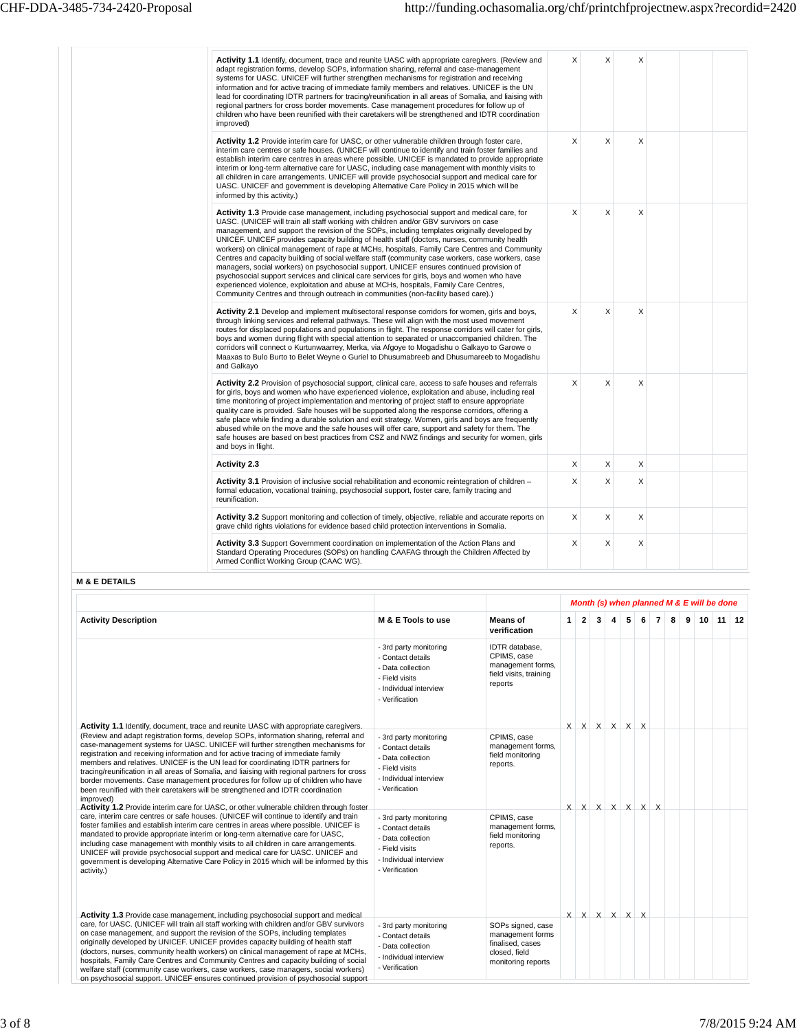| Activity 1.1 Identify, document, trace and reunite UASC with appropriate caregivers. (Review and<br>adapt registration forms, develop SOPs, information sharing, referral and case-management<br>systems for UASC. UNICEF will further strengthen mechanisms for registration and receiving<br>information and for active tracing of immediate family members and relatives. UNICEF is the UN<br>lead for coordinating IDTR partners for tracing/reunification in all areas of Somalia, and liaising with<br>regional partners for cross border movements. Case management procedures for follow up of<br>children who have been reunified with their caretakers will be strengthened and IDTR coordination<br>improved)                                                                                                                                                                                                                                                   | X        | X | X |  |  |
|----------------------------------------------------------------------------------------------------------------------------------------------------------------------------------------------------------------------------------------------------------------------------------------------------------------------------------------------------------------------------------------------------------------------------------------------------------------------------------------------------------------------------------------------------------------------------------------------------------------------------------------------------------------------------------------------------------------------------------------------------------------------------------------------------------------------------------------------------------------------------------------------------------------------------------------------------------------------------|----------|---|---|--|--|
| Activity 1.2 Provide interim care for UASC, or other vulnerable children through foster care,<br>interim care centres or safe houses. (UNICEF will continue to identify and train foster families and<br>establish interim care centres in areas where possible. UNICEF is mandated to provide appropriate<br>interim or long-term alternative care for UASC, including case management with monthly visits to<br>all children in care arrangements. UNICEF will provide psychosocial support and medical care for<br>UASC. UNICEF and government is developing Alternative Care Policy in 2015 which will be<br>informed by this activity.)                                                                                                                                                                                                                                                                                                                               | $\times$ | X | X |  |  |
| <b>Activity 1.3</b> Provide case management, including psychosocial support and medical care, for<br>UASC. (UNICEF will train all staff working with children and/or GBV survivors on case<br>management, and support the revision of the SOPs, including templates originally developed by<br>UNICEF. UNICEF provides capacity building of health staff (doctors, nurses, community health<br>workers) on clinical management of rape at MCHs, hospitals, Family Care Centres and Community<br>Centres and capacity building of social welfare staff (community case workers, case workers, case<br>managers, social workers) on psychosocial support. UNICEF ensures continued provision of<br>psychosocial support services and clinical care services for girls, boys and women who have<br>experienced violence, exploitation and abuse at MCHs, hospitals, Family Care Centres,<br>Community Centres and through outreach in communities (non-facility based care).) | X        | X | X |  |  |
| Activity 2.1 Develop and implement multisectoral response corridors for women, girls and boys,<br>through linking services and referral pathways. These will align with the most used movement<br>routes for displaced populations and populations in flight. The response corridors will cater for girls,<br>boys and women during flight with special attention to separated or unaccompanied children. The<br>corridors will connect o Kurtunwaarrey, Merka, via Afgoye to Mogadishu o Galkayo to Garowe o<br>Maaxas to Bulo Burto to Belet Weyne o Guriel to Dhusumabreeb and Dhusumareeb to Mogadishu<br>and Galkayo                                                                                                                                                                                                                                                                                                                                                  | X        | X | Χ |  |  |
| Activity 2.2 Provision of psychosocial support, clinical care, access to safe houses and referrals<br>for girls, boys and women who have experienced violence, exploitation and abuse, including real<br>time monitoring of project implementation and mentoring of project staff to ensure appropriate<br>quality care is provided. Safe houses will be supported along the response corridors, offering a<br>safe place while finding a durable solution and exit strategy. Women, girls and boys are frequently<br>abused while on the move and the safe houses will offer care, support and safety for them. The<br>safe houses are based on best practices from CSZ and NWZ findings and security for women, girls<br>and boys in flight.                                                                                                                                                                                                                             | X        | X | Χ |  |  |
| <b>Activity 2.3</b>                                                                                                                                                                                                                                                                                                                                                                                                                                                                                                                                                                                                                                                                                                                                                                                                                                                                                                                                                        | X        | X | X |  |  |
| Activity 3.1 Provision of inclusive social rehabilitation and economic reintegration of children -<br>formal education, vocational training, psychosocial support, foster care, family tracing and<br>reunification.                                                                                                                                                                                                                                                                                                                                                                                                                                                                                                                                                                                                                                                                                                                                                       | X        | X | Χ |  |  |
| <b>Activity 3.2</b> Support monitoring and collection of timely, objective, reliable and accurate reports on<br>grave child rights violations for evidence based child protection interventions in Somalia.                                                                                                                                                                                                                                                                                                                                                                                                                                                                                                                                                                                                                                                                                                                                                                | X        | X | Χ |  |  |
| <b>Activity 3.3</b> Support Government coordination on implementation of the Action Plans and<br>Standard Operating Procedures (SOPs) on handling CAAFAG through the Children Affected by<br>Armed Conflict Working Group (CAAC WG).                                                                                                                                                                                                                                                                                                                                                                                                                                                                                                                                                                                                                                                                                                                                       | X        | X | Χ |  |  |

## **M & E DETAILS**

|                                                                                                                                                                                                                                                                                                                                                                                                                                                                                                                                                                                                                                                                                                                             |                                                                                                                                |                                                                                                  |              |                         |   |   |   |                             |                |   |   |                 | Month (s) when planned M & E will be done |  |
|-----------------------------------------------------------------------------------------------------------------------------------------------------------------------------------------------------------------------------------------------------------------------------------------------------------------------------------------------------------------------------------------------------------------------------------------------------------------------------------------------------------------------------------------------------------------------------------------------------------------------------------------------------------------------------------------------------------------------------|--------------------------------------------------------------------------------------------------------------------------------|--------------------------------------------------------------------------------------------------|--------------|-------------------------|---|---|---|-----------------------------|----------------|---|---|-----------------|-------------------------------------------|--|
| <b>Activity Description</b>                                                                                                                                                                                                                                                                                                                                                                                                                                                                                                                                                                                                                                                                                                 | M & E Tools to use                                                                                                             | <b>Means</b> of<br>verification                                                                  | $\mathbf{1}$ | $\overline{2}$          | 3 | 4 | 5 | 6                           | $\overline{7}$ | 8 | 9 | 10 <sup>1</sup> | $11 \mid 12$                              |  |
|                                                                                                                                                                                                                                                                                                                                                                                                                                                                                                                                                                                                                                                                                                                             | - 3rd party monitoring<br>- Contact details<br>- Data collection<br>- Field visits<br>- Individual interview<br>- Verification | IDTR database,<br>CPIMS, case<br>management forms,<br>field visits, training<br>reports          |              |                         |   |   |   |                             |                |   |   |                 |                                           |  |
| Activity 1.1 Identify, document, trace and reunite UASC with appropriate caregivers.<br>(Review and adapt registration forms, develop SOPs, information sharing, referral and<br>case-management systems for UASC. UNICEF will further strengthen mechanisms for<br>registration and receiving information and for active tracing of immediate family<br>members and relatives. UNICEF is the UN lead for coordinating IDTR partners for<br>tracing/reunification in all areas of Somalia, and liaising with regional partners for cross<br>border movements. Case management procedures for follow up of children who have<br>been reunified with their caretakers will be strengthened and IDTR coordination<br>improved) | - 3rd party monitoring<br>- Contact details<br>- Data collection<br>- Field visits<br>- Individual interview<br>- Verification | CPIMS, case<br>management forms,<br>field monitoring<br>reports.                                 |              | $X$ $X$ $X$ $X$ $X$ $X$ |   |   |   |                             |                |   |   |                 |                                           |  |
| Activity 1.2 Provide interim care for UASC, or other vulnerable children through foster<br>care, interim care centres or safe houses. (UNICEF will continue to identify and train<br>foster families and establish interim care centres in areas where possible. UNICEF is<br>mandated to provide appropriate interim or long-term alternative care for UASC,<br>including case management with monthly visits to all children in care arrangements.<br>UNICEF will provide psychosocial support and medical care for UASC. UNICEF and<br>government is developing Alternative Care Policy in 2015 which will be informed by this<br>activity.)                                                                             | - 3rd party monitoring<br>- Contact details<br>- Data collection<br>- Field visits<br>- Individual interview<br>- Verification | CPIMS, case<br>management forms,<br>field monitoring<br>reports.                                 |              |                         |   |   |   | $X$ $X$ $X$ $X$ $X$ $X$ $X$ |                |   |   |                 |                                           |  |
| Activity 1.3 Provide case management, including psychosocial support and medical<br>care, for UASC. (UNICEF will train all staff working with children and/or GBV survivors<br>on case management, and support the revision of the SOPs, including templates<br>originally developed by UNICEF. UNICEF provides capacity building of health staff<br>(doctors, nurses, community health workers) on clinical management of rape at MCHs,<br>hospitals, Family Care Centres and Community Centres and capacity building of social<br>welfare staff (community case workers, case workers, case managers, social workers)<br>on psychosocial support. UNICEF ensures continued provision of psychosocial support              | - 3rd party monitoring<br>- Contact details<br>- Data collection<br>- Individual interview<br>- Verification                   | SOPs signed, case<br>management forms<br>finalised, cases<br>closed, field<br>monitoring reports |              | $X$ $X$ $X$ $X$ $X$ $X$ |   |   |   |                             |                |   |   |                 |                                           |  |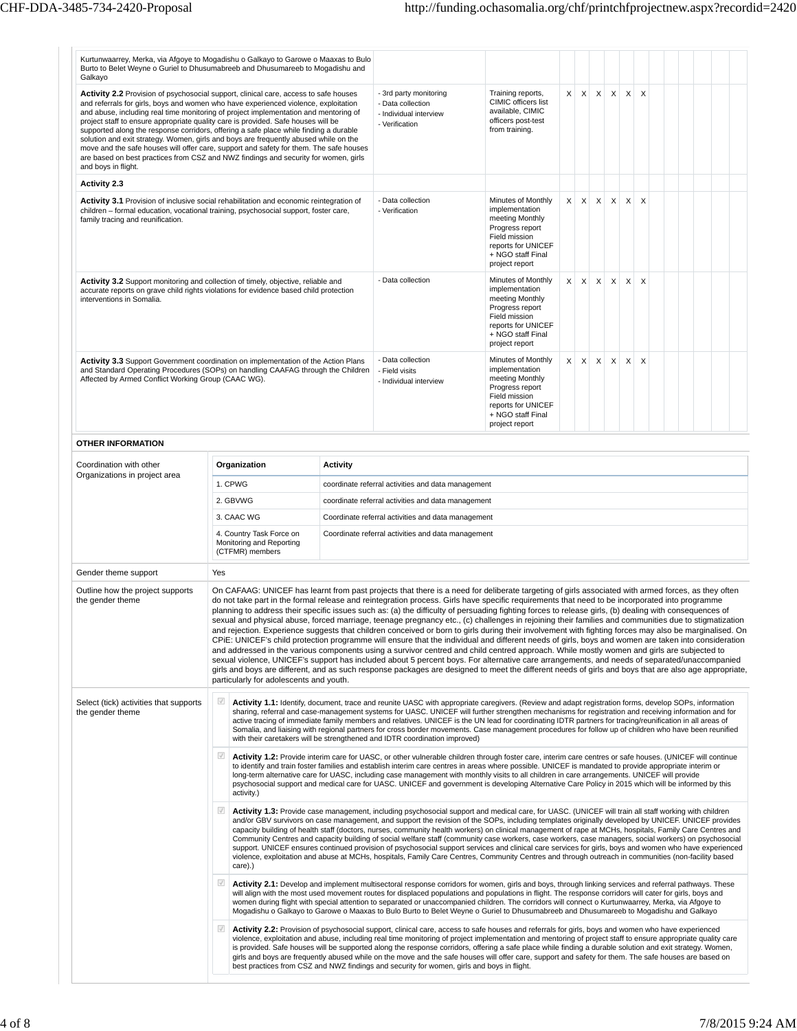| Kurtunwaarrey, Merka, via Afgoye to Mogadishu o Galkayo to Garowe o Maaxas to Bulo<br>Burto to Belet Weyne o Guriel to Dhusumabreeb and Dhusumareeb to Mogadishu and<br>Galkayo                                                                                                                                                                                                                                                                                                                                                                                                                                                                                                                                                                   |                                                                                                                                                                                                                                                                                                                                                                                                                                                                                                                                                                                                                                               |                                                                         |                 |                                                                                                                                                                                                                                                                                                                                                                                                                                                                                                                                                                                                                                                                                                                                                                                                                                                                                                                                                                                                                                                                                                                                                                                                                                                                                                                                                                                                |                                                                                                                                                          |              |  |         |                   |              |                           |  |  |  |  |
|---------------------------------------------------------------------------------------------------------------------------------------------------------------------------------------------------------------------------------------------------------------------------------------------------------------------------------------------------------------------------------------------------------------------------------------------------------------------------------------------------------------------------------------------------------------------------------------------------------------------------------------------------------------------------------------------------------------------------------------------------|-----------------------------------------------------------------------------------------------------------------------------------------------------------------------------------------------------------------------------------------------------------------------------------------------------------------------------------------------------------------------------------------------------------------------------------------------------------------------------------------------------------------------------------------------------------------------------------------------------------------------------------------------|-------------------------------------------------------------------------|-----------------|------------------------------------------------------------------------------------------------------------------------------------------------------------------------------------------------------------------------------------------------------------------------------------------------------------------------------------------------------------------------------------------------------------------------------------------------------------------------------------------------------------------------------------------------------------------------------------------------------------------------------------------------------------------------------------------------------------------------------------------------------------------------------------------------------------------------------------------------------------------------------------------------------------------------------------------------------------------------------------------------------------------------------------------------------------------------------------------------------------------------------------------------------------------------------------------------------------------------------------------------------------------------------------------------------------------------------------------------------------------------------------------------|----------------------------------------------------------------------------------------------------------------------------------------------------------|--------------|--|---------|-------------------|--------------|---------------------------|--|--|--|--|
| Activity 2.2 Provision of psychosocial support, clinical care, access to safe houses<br>and referrals for girls, boys and women who have experienced violence, exploitation<br>and abuse, including real time monitoring of project implementation and mentoring of<br>project staff to ensure appropriate quality care is provided. Safe houses will be<br>supported along the response corridors, offering a safe place while finding a durable<br>solution and exit strategy. Women, girls and boys are frequently abused while on the<br>move and the safe houses will offer care, support and safety for them. The safe houses<br>are based on best practices from CSZ and NWZ findings and security for women, girls<br>and boys in flight. |                                                                                                                                                                                                                                                                                                                                                                                                                                                                                                                                                                                                                                               |                                                                         |                 | - 3rd party monitoring<br>- Data collection<br>- Individual interview<br>- Verification                                                                                                                                                                                                                                                                                                                                                                                                                                                                                                                                                                                                                                                                                                                                                                                                                                                                                                                                                                                                                                                                                                                                                                                                                                                                                                        | Training reports,<br>CIMIC officers list<br>available, CIMIC<br>officers post-test<br>from training.                                                     | $\mathsf{X}$ |  | $X$ $X$ | $\times$          | $\times$     | $\boldsymbol{\mathsf{X}}$ |  |  |  |  |
| <b>Activity 2.3</b>                                                                                                                                                                                                                                                                                                                                                                                                                                                                                                                                                                                                                                                                                                                               |                                                                                                                                                                                                                                                                                                                                                                                                                                                                                                                                                                                                                                               |                                                                         |                 |                                                                                                                                                                                                                                                                                                                                                                                                                                                                                                                                                                                                                                                                                                                                                                                                                                                                                                                                                                                                                                                                                                                                                                                                                                                                                                                                                                                                |                                                                                                                                                          |              |  |         |                   |              |                           |  |  |  |  |
| Activity 3.1 Provision of inclusive social rehabilitation and economic reintegration of                                                                                                                                                                                                                                                                                                                                                                                                                                                                                                                                                                                                                                                           |                                                                                                                                                                                                                                                                                                                                                                                                                                                                                                                                                                                                                                               |                                                                         |                 | - Data collection                                                                                                                                                                                                                                                                                                                                                                                                                                                                                                                                                                                                                                                                                                                                                                                                                                                                                                                                                                                                                                                                                                                                                                                                                                                                                                                                                                              | Minutes of Monthly                                                                                                                                       | $\times$     |  |         | $x \mid x \mid x$ | $\mathsf{X}$ | $\boldsymbol{\mathsf{X}}$ |  |  |  |  |
| children - formal education, vocational training, psychosocial support, foster care,<br>family tracing and reunification.                                                                                                                                                                                                                                                                                                                                                                                                                                                                                                                                                                                                                         |                                                                                                                                                                                                                                                                                                                                                                                                                                                                                                                                                                                                                                               |                                                                         |                 | - Verification                                                                                                                                                                                                                                                                                                                                                                                                                                                                                                                                                                                                                                                                                                                                                                                                                                                                                                                                                                                                                                                                                                                                                                                                                                                                                                                                                                                 | implementation<br>meeting Monthly<br>Progress report<br>Field mission<br>reports for UNICEF<br>+ NGO staff Final<br>project report                       |              |  |         |                   |              |                           |  |  |  |  |
| Activity 3.2 Support monitoring and collection of timely, objective, reliable and<br>accurate reports on grave child rights violations for evidence based child protection<br>interventions in Somalia.                                                                                                                                                                                                                                                                                                                                                                                                                                                                                                                                           |                                                                                                                                                                                                                                                                                                                                                                                                                                                                                                                                                                                                                                               |                                                                         |                 | - Data collection                                                                                                                                                                                                                                                                                                                                                                                                                                                                                                                                                                                                                                                                                                                                                                                                                                                                                                                                                                                                                                                                                                                                                                                                                                                                                                                                                                              | Minutes of Monthly<br>implementation<br>meeting Monthly<br>Progress report<br>Field mission<br>reports for UNICEF<br>+ NGO staff Final<br>project report | X            |  | $X$ $X$ | $\times$          | X            | $\times$                  |  |  |  |  |
| <b>Activity 3.3</b> Support Government coordination on implementation of the Action Plans<br>and Standard Operating Procedures (SOPs) on handling CAAFAG through the Children<br>Affected by Armed Conflict Working Group (CAAC WG).                                                                                                                                                                                                                                                                                                                                                                                                                                                                                                              |                                                                                                                                                                                                                                                                                                                                                                                                                                                                                                                                                                                                                                               |                                                                         |                 | - Data collection<br>- Field visits<br>- Individual interview                                                                                                                                                                                                                                                                                                                                                                                                                                                                                                                                                                                                                                                                                                                                                                                                                                                                                                                                                                                                                                                                                                                                                                                                                                                                                                                                  | Minutes of Monthly<br>implementation<br>meeting Monthly<br>Progress report<br>Field mission<br>reports for UNICEF<br>+ NGO staff Final<br>project report | $\times$     |  |         | $X$ $X$ $X$       | $\times$     | $\boldsymbol{\mathsf{X}}$ |  |  |  |  |
| <b>OTHER INFORMATION</b>                                                                                                                                                                                                                                                                                                                                                                                                                                                                                                                                                                                                                                                                                                                          |                                                                                                                                                                                                                                                                                                                                                                                                                                                                                                                                                                                                                                               |                                                                         |                 |                                                                                                                                                                                                                                                                                                                                                                                                                                                                                                                                                                                                                                                                                                                                                                                                                                                                                                                                                                                                                                                                                                                                                                                                                                                                                                                                                                                                |                                                                                                                                                          |              |  |         |                   |              |                           |  |  |  |  |
| Coordination with other                                                                                                                                                                                                                                                                                                                                                                                                                                                                                                                                                                                                                                                                                                                           |                                                                                                                                                                                                                                                                                                                                                                                                                                                                                                                                                                                                                                               | Organization                                                            | <b>Activity</b> |                                                                                                                                                                                                                                                                                                                                                                                                                                                                                                                                                                                                                                                                                                                                                                                                                                                                                                                                                                                                                                                                                                                                                                                                                                                                                                                                                                                                |                                                                                                                                                          |              |  |         |                   |              |                           |  |  |  |  |
| Organizations in project area                                                                                                                                                                                                                                                                                                                                                                                                                                                                                                                                                                                                                                                                                                                     |                                                                                                                                                                                                                                                                                                                                                                                                                                                                                                                                                                                                                                               | 1. CPWG                                                                 |                 | coordinate referral activities and data management                                                                                                                                                                                                                                                                                                                                                                                                                                                                                                                                                                                                                                                                                                                                                                                                                                                                                                                                                                                                                                                                                                                                                                                                                                                                                                                                             |                                                                                                                                                          |              |  |         |                   |              |                           |  |  |  |  |
|                                                                                                                                                                                                                                                                                                                                                                                                                                                                                                                                                                                                                                                                                                                                                   | 2. GBVWG<br>coordinate referral activities and data management                                                                                                                                                                                                                                                                                                                                                                                                                                                                                                                                                                                |                                                                         |                 |                                                                                                                                                                                                                                                                                                                                                                                                                                                                                                                                                                                                                                                                                                                                                                                                                                                                                                                                                                                                                                                                                                                                                                                                                                                                                                                                                                                                |                                                                                                                                                          |              |  |         |                   |              |                           |  |  |  |  |
|                                                                                                                                                                                                                                                                                                                                                                                                                                                                                                                                                                                                                                                                                                                                                   |                                                                                                                                                                                                                                                                                                                                                                                                                                                                                                                                                                                                                                               | 3. CAAC WG                                                              |                 | Coordinate referral activities and data management                                                                                                                                                                                                                                                                                                                                                                                                                                                                                                                                                                                                                                                                                                                                                                                                                                                                                                                                                                                                                                                                                                                                                                                                                                                                                                                                             |                                                                                                                                                          |              |  |         |                   |              |                           |  |  |  |  |
|                                                                                                                                                                                                                                                                                                                                                                                                                                                                                                                                                                                                                                                                                                                                                   |                                                                                                                                                                                                                                                                                                                                                                                                                                                                                                                                                                                                                                               | 4. Country Task Force on<br>Monitoring and Reporting<br>(CTFMR) members |                 | Coordinate referral activities and data management                                                                                                                                                                                                                                                                                                                                                                                                                                                                                                                                                                                                                                                                                                                                                                                                                                                                                                                                                                                                                                                                                                                                                                                                                                                                                                                                             |                                                                                                                                                          |              |  |         |                   |              |                           |  |  |  |  |
| Gender theme support                                                                                                                                                                                                                                                                                                                                                                                                                                                                                                                                                                                                                                                                                                                              | Yes                                                                                                                                                                                                                                                                                                                                                                                                                                                                                                                                                                                                                                           |                                                                         |                 |                                                                                                                                                                                                                                                                                                                                                                                                                                                                                                                                                                                                                                                                                                                                                                                                                                                                                                                                                                                                                                                                                                                                                                                                                                                                                                                                                                                                |                                                                                                                                                          |              |  |         |                   |              |                           |  |  |  |  |
| Outline how the project supports<br>the gender theme                                                                                                                                                                                                                                                                                                                                                                                                                                                                                                                                                                                                                                                                                              |                                                                                                                                                                                                                                                                                                                                                                                                                                                                                                                                                                                                                                               | particularly for adolescents and youth.                                 |                 | On CAFAAG: UNICEF has learnt from past projects that there is a need for deliberate targeting of girls associated with armed forces, as they often<br>do not take part in the formal release and reintegration process. Girls have specific requirements that need to be incorporated into programme<br>planning to address their specific issues such as: (a) the difficulty of persuading fighting forces to release girls, (b) dealing with consequences of<br>sexual and physical abuse, forced marriage, teenage pregnancy etc., (c) challenges in rejoining their families and communities due to stigmatization<br>and rejection. Experience suggests that children conceived or born to girls during their involvement with fighting forces may also be marginalised. On<br>CPIE: UNICEF's child protection programme will ensure that the individual and different needs of girls, boys and women are taken into consideration<br>and addressed in the various components using a survivor centred and child centred approach. While mostly women and girls are subjected to<br>sexual violence, UNICEF's support has included about 5 percent boys. For alternative care arrangements, and needs of separated/unaccompanied<br>girls and boys are different, and as such response packages are designed to meet the different needs of girls and boys that are also age appropriate, |                                                                                                                                                          |              |  |         |                   |              |                           |  |  |  |  |
| Select (tick) activities that supports<br>the gender theme                                                                                                                                                                                                                                                                                                                                                                                                                                                                                                                                                                                                                                                                                        | $\sqrt{}$                                                                                                                                                                                                                                                                                                                                                                                                                                                                                                                                                                                                                                     |                                                                         |                 | Activity 1.1: Identify, document, trace and reunite UASC with appropriate caregivers. (Review and adapt registration forms, develop SOPs, information<br>sharing, referral and case-management systems for UASC. UNICEF will further strengthen mechanisms for registration and receiving information and for<br>active tracing of immediate family members and relatives. UNICEF is the UN lead for coordinating IDTR partners for tracing/reunification in all areas of<br>Somalia, and liaising with regional partners for cross border movements. Case management procedures for follow up of children who have been reunified<br>with their caretakers will be strengthened and IDTR coordination improved)                                                                                                                                                                                                                                                                                                                                                                                                                                                                                                                                                                                                                                                                               |                                                                                                                                                          |              |  |         |                   |              |                           |  |  |  |  |
|                                                                                                                                                                                                                                                                                                                                                                                                                                                                                                                                                                                                                                                                                                                                                   | $\overline{\vee}$                                                                                                                                                                                                                                                                                                                                                                                                                                                                                                                                                                                                                             | activity.)                                                              |                 | Activity 1.2: Provide interim care for UASC, or other vulnerable children through foster care, interim care centres or safe houses. (UNICEF will continue<br>to identify and train foster families and establish interim care centres in areas where possible. UNICEF is mandated to provide appropriate interim or<br>long-term alternative care for UASC, including case management with monthly visits to all children in care arrangements. UNICEF will provide<br>psychosocial support and medical care for UASC. UNICEF and government is developing Alternative Care Policy in 2015 which will be informed by this                                                                                                                                                                                                                                                                                                                                                                                                                                                                                                                                                                                                                                                                                                                                                                      |                                                                                                                                                          |              |  |         |                   |              |                           |  |  |  |  |
|                                                                                                                                                                                                                                                                                                                                                                                                                                                                                                                                                                                                                                                                                                                                                   | $\mathcal{J}$                                                                                                                                                                                                                                                                                                                                                                                                                                                                                                                                                                                                                                 | care).)                                                                 |                 | Activity 1.3: Provide case management, including psychosocial support and medical care, for UASC. (UNICEF will train all staff working with children<br>and/or GBV survivors on case management, and support the revision of the SOPs, including templates originally developed by UNICEF. UNICEF provides<br>capacity building of health staff (doctors, nurses, community health workers) on clinical management of rape at MCHs, hospitals, Family Care Centres and<br>Community Centres and capacity building of social welfare staff (community case workers, case workers, case managers, social workers) on psychosocial<br>support. UNICEF ensures continued provision of psychosocial support services and clinical care services for girls, boys and women who have experienced<br>violence, exploitation and abuse at MCHs, hospitals, Family Care Centres, Community Centres and through outreach in communities (non-facility based                                                                                                                                                                                                                                                                                                                                                                                                                                               |                                                                                                                                                          |              |  |         |                   |              |                           |  |  |  |  |
|                                                                                                                                                                                                                                                                                                                                                                                                                                                                                                                                                                                                                                                                                                                                                   | $\overline{\mathcal{A}}$<br>Activity 2.1: Develop and implement multisectoral response corridors for women, girls and boys, through linking services and referral pathways. These<br>will align with the most used movement routes for displaced populations and populations in flight. The response corridors will cater for girls, boys and<br>women during flight with special attention to separated or unaccompanied children. The corridors will connect o Kurtunwaarrey, Merka, via Afgoye to<br>Mogadishu o Galkayo to Garowe o Maaxas to Bulo Burto to Belet Weyne o Guriel to Dhusumabreeb and Dhusumareeb to Mogadishu and Galkayo |                                                                         |                 |                                                                                                                                                                                                                                                                                                                                                                                                                                                                                                                                                                                                                                                                                                                                                                                                                                                                                                                                                                                                                                                                                                                                                                                                                                                                                                                                                                                                |                                                                                                                                                          |              |  |         |                   |              |                           |  |  |  |  |
|                                                                                                                                                                                                                                                                                                                                                                                                                                                                                                                                                                                                                                                                                                                                                   | $\mathcal{J}$                                                                                                                                                                                                                                                                                                                                                                                                                                                                                                                                                                                                                                 |                                                                         |                 | Activity 2.2: Provision of psychosocial support, clinical care, access to safe houses and referrals for girls, boys and women who have experienced<br>violence, exploitation and abuse, including real time monitoring of project implementation and mentoring of project staff to ensure appropriate quality care<br>is provided. Safe houses will be supported along the response corridors, offering a safe place while finding a durable solution and exit strategy. Women,<br>girls and boys are frequently abused while on the move and the safe houses will offer care, support and safety for them. The safe houses are based on<br>best practices from CSZ and NWZ findings and security for women, girls and boys in flight.                                                                                                                                                                                                                                                                                                                                                                                                                                                                                                                                                                                                                                                         |                                                                                                                                                          |              |  |         |                   |              |                           |  |  |  |  |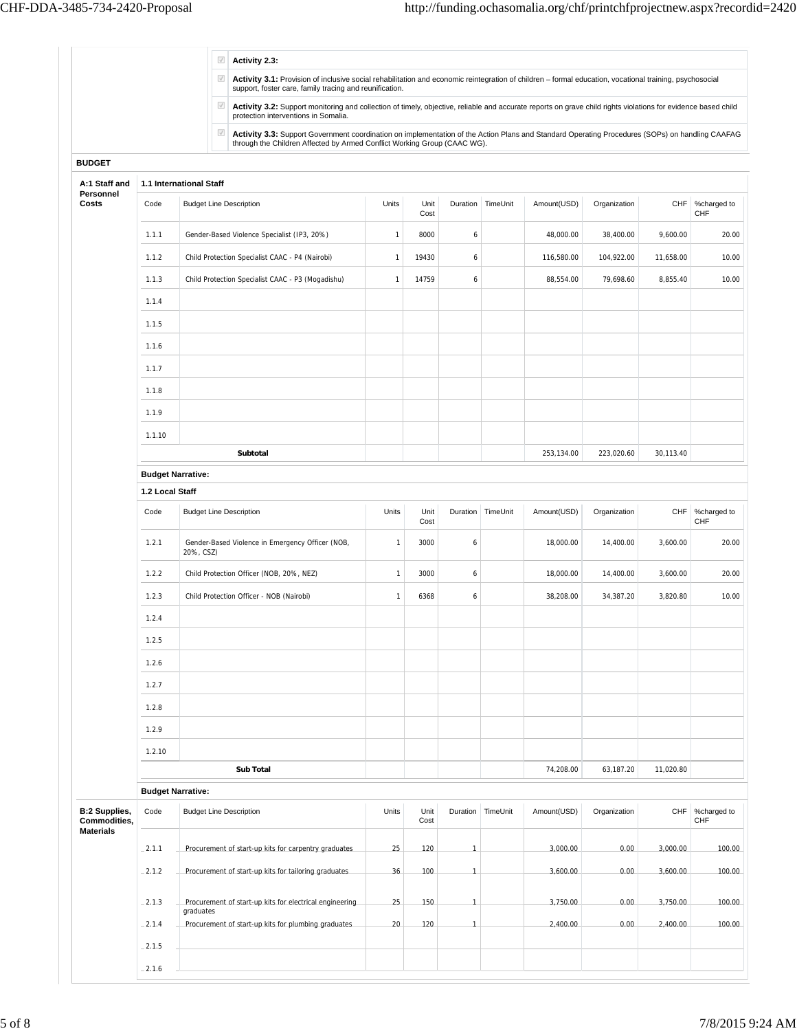|                                      |                          | $\checkmark$<br>$\sqrt{}$      | Activity 2.3:                                                                                                                                                                                                               |              |              |                |            |             |              |           |                    |
|--------------------------------------|--------------------------|--------------------------------|-----------------------------------------------------------------------------------------------------------------------------------------------------------------------------------------------------------------------------|--------------|--------------|----------------|------------|-------------|--------------|-----------|--------------------|
|                                      |                          |                                | Activity 3.1: Provision of inclusive social rehabilitation and economic reintegration of children - formal education, vocational training, psychosocial<br>support, foster care, family tracing and reunification.          |              |              |                |            |             |              |           |                    |
|                                      |                          | $\sqrt{}$                      | Activity 3.2: Support monitoring and collection of timely, objective, reliable and accurate reports on grave child rights violations for evidence based child<br>protection interventions in Somalia.                       |              |              |                |            |             |              |           |                    |
|                                      |                          | $\sqrt{}$                      | Activity 3.3: Support Government coordination on implementation of the Action Plans and Standard Operating Procedures (SOPs) on handling CAAFAG<br>through the Children Affected by Armed Conflict Working Group (CAAC WG). |              |              |                |            |             |              |           |                    |
| <b>BUDGET</b>                        |                          |                                |                                                                                                                                                                                                                             |              |              |                |            |             |              |           |                    |
| A:1 Staff and<br>Personnel           |                          | 1.1 International Staff        |                                                                                                                                                                                                                             |              |              |                |            |             |              |           |                    |
| Costs                                | Code                     | <b>Budget Line Description</b> |                                                                                                                                                                                                                             | Units        | Unit<br>Cost | Duration       | TimeUnit   | Amount(USD) | Organization | CHF       | %charged to<br>CHF |
|                                      | 1.1.1                    |                                | Gender-Based Violence Specialist (IP3, 20%)                                                                                                                                                                                 | $\mathbf{1}$ | 8000         | 6              |            | 48,000.00   | 38,400.00    | 9,600.00  | 20.00              |
|                                      | 1.1.2                    |                                | Child Protection Specialist CAAC - P4 (Nairobi)                                                                                                                                                                             | $\mathbf{1}$ | 19430        | 6              |            | 116,580.00  | 104,922.00   | 11,658.00 | 10.00              |
|                                      | 1.1.3                    |                                | Child Protection Specialist CAAC - P3 (Mogadishu)                                                                                                                                                                           | $\mathbf{1}$ | 14759        | 6              |            | 88,554.00   | 79,698.60    | 8,855.40  | 10.00              |
|                                      | 1.1.4                    |                                |                                                                                                                                                                                                                             |              |              |                |            |             |              |           |                    |
|                                      | 1.1.5                    |                                |                                                                                                                                                                                                                             |              |              |                |            |             |              |           |                    |
|                                      | 1.1.6                    |                                |                                                                                                                                                                                                                             |              |              |                |            |             |              |           |                    |
|                                      | 1.1.7                    |                                |                                                                                                                                                                                                                             |              |              |                |            |             |              |           |                    |
|                                      | 1.1.8                    |                                |                                                                                                                                                                                                                             |              |              |                |            |             |              |           |                    |
|                                      | 1.1.9                    |                                |                                                                                                                                                                                                                             |              |              |                |            |             |              |           |                    |
|                                      | 1.1.10                   |                                |                                                                                                                                                                                                                             |              |              |                |            |             |              |           |                    |
|                                      |                          |                                |                                                                                                                                                                                                                             |              |              | 253,134.00     | 223,020.60 | 30,113.40   |              |           |                    |
|                                      | <b>Budget Narrative:</b> |                                |                                                                                                                                                                                                                             |              |              |                |            |             |              |           |                    |
|                                      | 1.2 Local Staff          |                                |                                                                                                                                                                                                                             |              |              |                |            |             |              |           |                    |
|                                      | Code                     | <b>Budget Line Description</b> |                                                                                                                                                                                                                             | Units        | Unit<br>Cost | Duration       | TimeUnit   | Amount(USD) | Organization | CHF       | %charged to<br>CHF |
|                                      | 1.2.1                    | 20%, CSZ)                      | Gender-Based Violence in Emergency Officer (NOB,                                                                                                                                                                            | $\mathbf{1}$ | 3000         | 6              |            | 18,000.00   | 14,400.00    | 3,600.00  | 20.00              |
|                                      | 1.2.2                    |                                | Child Protection Officer (NOB, 20%, NEZ)                                                                                                                                                                                    | $\mathbf{1}$ | 3000         | 6              |            | 18,000.00   | 14,400.00    | 3,600.00  | 20.00              |
|                                      | 1.2.3                    |                                | Child Protection Officer - NOB (Nairobi)                                                                                                                                                                                    | $\mathbf{1}$ | 6368         | 6              |            | 38,208.00   | 34,387.20    | 3,820.80  | 10.00              |
|                                      | 1.2.4                    |                                |                                                                                                                                                                                                                             |              |              |                |            |             |              |           |                    |
|                                      | 1.2.5                    |                                |                                                                                                                                                                                                                             |              |              |                |            |             |              |           |                    |
|                                      | 1.2.6                    |                                |                                                                                                                                                                                                                             |              |              |                |            |             |              |           |                    |
|                                      | 1.2.7                    |                                |                                                                                                                                                                                                                             |              |              |                |            |             |              |           |                    |
|                                      | 1.2.8                    |                                |                                                                                                                                                                                                                             |              |              |                |            |             |              |           |                    |
|                                      | 1.2.9                    |                                |                                                                                                                                                                                                                             |              |              |                |            |             |              |           |                    |
|                                      | 1.2.10                   |                                |                                                                                                                                                                                                                             |              |              |                |            |             |              |           |                    |
|                                      |                          |                                | Sub Total                                                                                                                                                                                                                   |              |              |                |            | 74,208.00   | 63,187.20    | 11,020.80 |                    |
|                                      | <b>Budget Narrative:</b> |                                |                                                                                                                                                                                                                             |              |              |                |            |             |              |           |                    |
| <b>B:2 Supplies,</b><br>Commodities, | Code                     | <b>Budget Line Description</b> |                                                                                                                                                                                                                             | Units        | Unit<br>Cost | Duration       | TimeUnit   | Amount(USD) | Organization | CHF       | %charged to<br>CHF |
| <b>Materials</b>                     | $-2.1.1$                 |                                | Procurement of start-up kits for carpentry graduates.                                                                                                                                                                       | 25           | 120          | $\mathbf{1}$   |            | 3,000.00    | 0.00         | 3,000.00  | 100.00             |
|                                      | $-2.1.2$                 |                                | Procurement of start-up kits for tailoring graduates                                                                                                                                                                        | 36           | 100          | $\overline{1}$ |            | 3,600.00    | 0.00         | 3,600.00  | 100.00             |
|                                      |                          |                                |                                                                                                                                                                                                                             |              | 150          | $\mathbf{1}$   |            | 3,750.00    | 0.00         | 3,750.00  | 100.00             |
|                                      | $-2.1.3$                 |                                | Procurement of start-up kits for electrical engineering.                                                                                                                                                                    | 25           |              |                |            |             |              |           |                    |
|                                      | $-2.1.4$                 | graduates                      | Procurement of start-up kits for plumbing graduates                                                                                                                                                                         | 20           | 120          | $\overline{1}$ |            | 2,400.00    | 0.00         | 2,400.00  |                    |
|                                      | $-2.1.5$                 |                                |                                                                                                                                                                                                                             |              |              |                |            |             |              |           | 100.00             |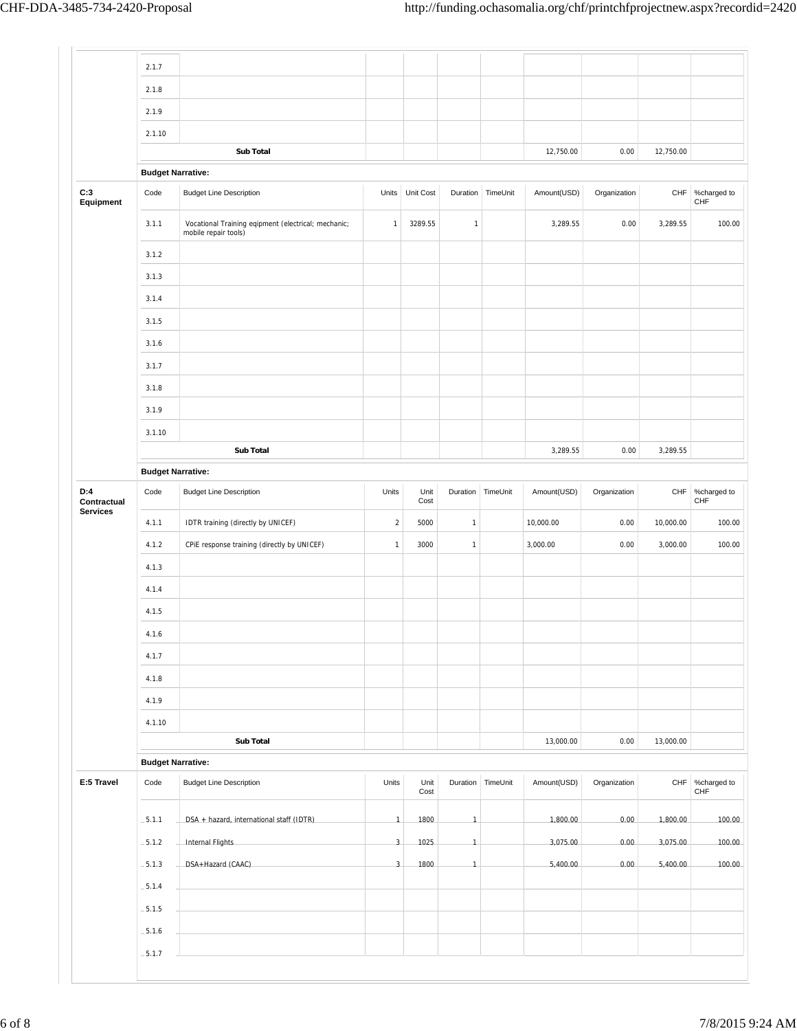|                                | 2.1.7                    |                                                                             |                |              |                |                   |             |              |           |                                |
|--------------------------------|--------------------------|-----------------------------------------------------------------------------|----------------|--------------|----------------|-------------------|-------------|--------------|-----------|--------------------------------|
|                                | 2.1.8                    |                                                                             |                |              |                |                   |             |              |           |                                |
|                                | 2.1.9                    |                                                                             |                |              |                |                   |             |              |           |                                |
|                                | 2.1.10                   |                                                                             |                |              |                |                   |             |              |           |                                |
|                                |                          | <b>Sub Total</b>                                                            |                |              |                |                   | 12,750.00   | 0.00         | 12,750.00 |                                |
|                                | <b>Budget Narrative:</b> |                                                                             |                |              |                |                   |             |              |           |                                |
| C:3<br>Equipment               | Code                     | <b>Budget Line Description</b>                                              | Units          | Unit Cost    |                | Duration TimeUnit | Amount(USD) | Organization | CHF       | %charged to<br>CHF             |
|                                | 3.1.1                    | Vocational Training eqipment (electrical; mechanic;<br>mobile repair tools) | $\mathbf{1}$   | 3289.55      | $\mathbf{1}$   |                   | 3,289.55    | 0.00         | 3,289.55  | 100.00                         |
|                                | 3.1.2                    |                                                                             |                |              |                |                   |             |              |           |                                |
|                                | 3.1.3                    |                                                                             |                |              |                |                   |             |              |           |                                |
|                                | 3.1.4                    |                                                                             |                |              |                |                   |             |              |           |                                |
|                                | 3.1.5                    |                                                                             |                |              |                |                   |             |              |           |                                |
|                                | 3.1.6                    |                                                                             |                |              |                |                   |             |              |           |                                |
|                                | 3.1.7                    |                                                                             |                |              |                |                   |             |              |           |                                |
|                                | 3.1.8                    |                                                                             |                |              |                |                   |             |              |           |                                |
|                                | 3.1.9                    |                                                                             |                |              |                |                   |             |              |           |                                |
|                                | 3.1.10                   |                                                                             |                |              |                |                   |             |              |           |                                |
|                                |                          | Sub Total                                                                   |                |              |                |                   | 3,289.55    | 0.00         | 3,289.55  |                                |
|                                | <b>Budget Narrative:</b> |                                                                             |                |              |                |                   |             |              |           |                                |
| D:4                            | Code                     | <b>Budget Line Description</b>                                              | Units          | Unit         | Duration       | TimeUnit          | Amount(USD) | Organization | CHF       | %charged to                    |
| Contractual<br><b>Services</b> |                          |                                                                             |                | Cost         |                |                   |             |              |           | CHF                            |
|                                | 4.1.1                    | IDTR training (directly by UNICEF)                                          | $\sqrt{2}$     | 5000         | $\mathbf{1}$   |                   | 10,000.00   | 0.00         | 10,000.00 | 100.00                         |
|                                | 4.1.2                    | CPIE response training (directly by UNICEF)                                 | $\mathbf{1}$   | 3000         | $\mathbf{1}$   |                   | 3,000.00    | 0.00         | 3,000.00  | 100.00                         |
|                                | 4.1.3                    |                                                                             |                |              |                |                   |             |              |           |                                |
|                                | 4.1.4                    |                                                                             |                |              |                |                   |             |              |           |                                |
|                                | 4.1.5                    |                                                                             |                |              |                |                   |             |              |           |                                |
|                                | 4.1.6                    |                                                                             |                |              |                |                   |             |              |           |                                |
|                                | 4.1.7                    |                                                                             |                |              |                |                   |             |              |           |                                |
|                                | 4.1.8                    |                                                                             |                |              |                |                   |             |              |           |                                |
|                                | 4.1.9                    |                                                                             |                |              |                |                   |             |              |           |                                |
|                                | 4.1.10                   |                                                                             |                |              |                |                   |             |              |           |                                |
|                                |                          | Sub Total                                                                   |                |              |                |                   | 13,000.00   | 0.00         | 13,000.00 |                                |
|                                | <b>Budget Narrative:</b> |                                                                             |                |              |                |                   |             |              |           |                                |
| E:5 Travel                     | Code                     | <b>Budget Line Description</b>                                              | Units          | Unit<br>Cost |                | Duration TimeUnit | Amount(USD) | Organization |           | CHF %charged to<br>${\sf CHF}$ |
|                                | $-5.1.1$                 | DSA + hazard, international staff (IDTR)                                    | $\overline{1}$ | 1800         | $\mathbf{1}$   |                   | 1,800.00    | 0.00         | 1,800.00  | 100.00                         |
|                                | $-5.1.2$                 | Internal Flights                                                            | $\mathbf{3}$   | 1025         | $\overline{1}$ |                   | 3,075.00    | 0.00         | 3,075.00  | 100.00                         |
|                                | $-5.1.3$                 | DSA+Hazard (CAAC)                                                           | $\overline{3}$ | 1800         | $\overline{1}$ |                   | 5,400.00    | 0.00         | 5,400.00  | 100.00                         |
|                                |                          |                                                                             |                |              |                |                   |             |              |           |                                |
|                                | $-5.1.4$                 |                                                                             |                |              |                |                   |             |              |           |                                |
|                                | $-5.1.5$                 |                                                                             |                |              |                |                   |             |              |           |                                |
|                                | $-5.1.6$                 |                                                                             |                |              |                |                   |             |              |           |                                |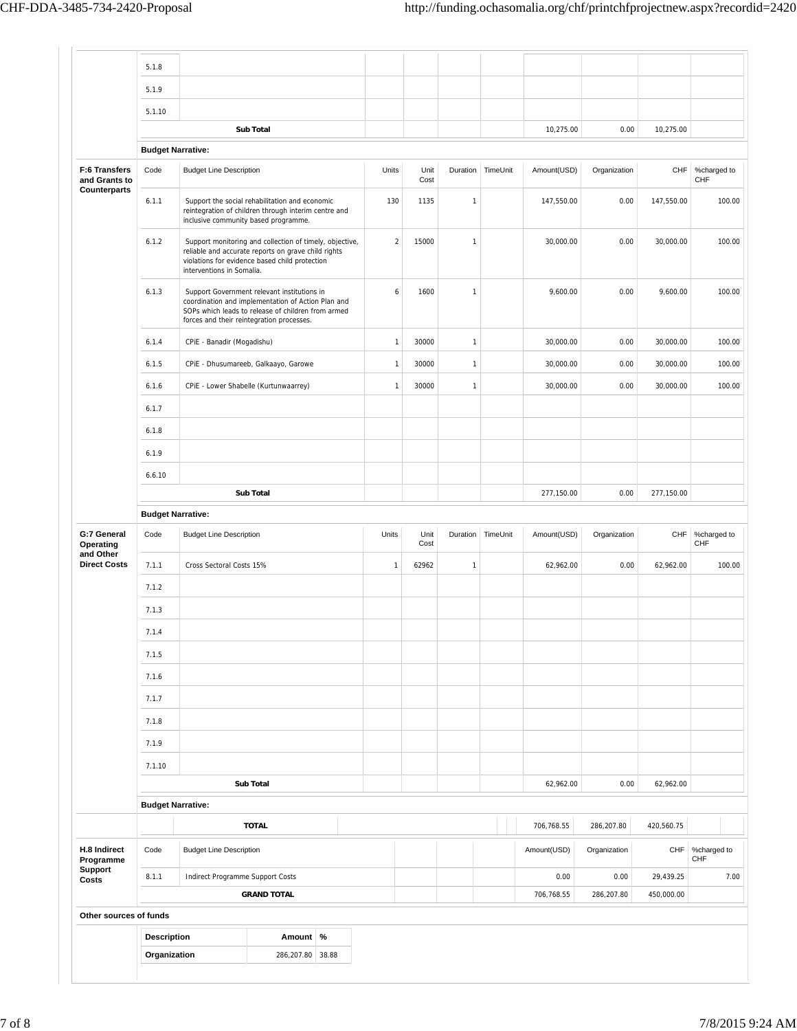|                                                | 5.1.8              |                                                                                                                                                                                                      |                |              |              |          |             |              |            |                           |
|------------------------------------------------|--------------------|------------------------------------------------------------------------------------------------------------------------------------------------------------------------------------------------------|----------------|--------------|--------------|----------|-------------|--------------|------------|---------------------------|
|                                                | 5.1.9              |                                                                                                                                                                                                      |                |              |              |          |             |              |            |                           |
|                                                | 5.1.10             |                                                                                                                                                                                                      |                |              |              |          |             |              |            |                           |
|                                                |                    | <b>Sub Total</b>                                                                                                                                                                                     |                |              |              |          | 10,275.00   | 0.00         | 10,275.00  |                           |
|                                                |                    | <b>Budget Narrative:</b>                                                                                                                                                                             |                |              |              |          |             |              |            |                           |
| F:6 Transfers<br>and Grants to<br>Counterparts | Code               | <b>Budget Line Description</b>                                                                                                                                                                       | Units          | Unit<br>Cost | Duration     | TimeUnit | Amount(USD) | Organization | CHF        | %charged to<br>CHF        |
|                                                | 6.1.1              | Support the social rehabilitation and economic<br>reintegration of children through interim centre and<br>inclusive community based programme.                                                       | 130            | 1135         | $\mathbf{1}$ |          | 147,550.00  | 0.00         | 147,550.00 | 100.00                    |
|                                                | 6.1.2              | Support monitoring and collection of timely, objective,<br>reliable and accurate reports on grave child rights<br>violations for evidence based child protection<br>interventions in Somalia.        | $\overline{2}$ | 15000        | $\mathbf{1}$ |          | 30,000.00   | 0.00         | 30,000.00  | 100.00                    |
|                                                | 6.1.3              | Support Government relevant institutions in<br>coordination and implementation of Action Plan and<br>SOPs which leads to release of children from armed<br>forces and their reintegration processes. | 6              | 1600         | 1            |          | 9,600.00    | 0.00         | 9,600.00   | 100.00                    |
|                                                | 6.1.4              | CPIE - Banadir (Mogadishu)                                                                                                                                                                           | $\mathbf{1}$   | 30000        | $\mathbf{1}$ |          | 30,000.00   | 0.00         | 30,000.00  | 100.00                    |
|                                                | 6.1.5              | CPIE - Dhusumareeb, Galkaayo, Garowe                                                                                                                                                                 | $\mathbf{1}$   | 30000        | $\mathbf{1}$ |          | 30,000.00   | 0.00         | 30,000.00  | 100.00                    |
|                                                | 6.1.6              | CPIE - Lower Shabelle (Kurtunwaarrey)                                                                                                                                                                | $\mathbf{1}$   | 30000        | $\mathbf{1}$ |          | 30,000.00   | 0.00         | 30,000.00  | 100.00                    |
|                                                | 6.1.7              |                                                                                                                                                                                                      |                |              |              |          |             |              |            |                           |
|                                                | 6.1.8              |                                                                                                                                                                                                      |                |              |              |          |             |              |            |                           |
|                                                | 6.1.9              |                                                                                                                                                                                                      |                |              |              |          |             |              |            |                           |
|                                                | 6.6.10             |                                                                                                                                                                                                      |                |              |              |          |             |              |            |                           |
|                                                |                    | <b>Sub Total</b>                                                                                                                                                                                     |                |              |              |          | 277,150.00  | 0.00         | 277,150.00 |                           |
|                                                |                    | <b>Budget Narrative:</b>                                                                                                                                                                             |                |              |              |          |             |              |            |                           |
| G:7 General<br>Operating                       | Code               | <b>Budget Line Description</b>                                                                                                                                                                       | Units          | Unit<br>Cost | Duration     | TimeUnit | Amount(USD) | Organization | CHF        | %charged to<br><b>CHF</b> |
| and Other<br><b>Direct Costs</b>               | 7.1.1              | Cross Sectoral Costs 15%                                                                                                                                                                             | $\mathbf{1}$   | 62962        | 1            |          | 62,962.00   | 0.00         | 62,962.00  | 100.00                    |
|                                                | 7.1.2              |                                                                                                                                                                                                      |                |              |              |          |             |              |            |                           |
|                                                | 7.1.3              |                                                                                                                                                                                                      |                |              |              |          |             |              |            |                           |
|                                                | 7.1.4              |                                                                                                                                                                                                      |                |              |              |          |             |              |            |                           |
|                                                | 7.1.5              |                                                                                                                                                                                                      |                |              |              |          |             |              |            |                           |
|                                                | 7.1.6              |                                                                                                                                                                                                      |                |              |              |          |             |              |            |                           |
|                                                | 7.1.7              |                                                                                                                                                                                                      |                |              |              |          |             |              |            |                           |
|                                                | 7.1.8              |                                                                                                                                                                                                      |                |              |              |          |             |              |            |                           |
|                                                |                    |                                                                                                                                                                                                      |                |              |              |          |             |              |            |                           |
|                                                | 7.1.9              |                                                                                                                                                                                                      |                |              |              |          |             |              |            |                           |
|                                                | 7.1.10             | Sub Total                                                                                                                                                                                            |                |              |              |          | 62,962.00   | 0.00         | 62,962.00  |                           |
|                                                |                    |                                                                                                                                                                                                      |                |              |              |          |             |              |            |                           |
|                                                |                    | <b>Budget Narrative:</b>                                                                                                                                                                             |                |              |              |          |             |              |            |                           |
|                                                |                    | <b>TOTAL</b>                                                                                                                                                                                         |                |              |              |          | 706,768.55  | 286,207.80   | 420,560.75 |                           |
| H.8 Indirect<br>Programme<br>Support           | Code               | <b>Budget Line Description</b>                                                                                                                                                                       |                |              |              |          | Amount(USD) | Organization | CHF        | %charged to<br>CHF        |
| Costs                                          | 8.1.1              | Indirect Programme Support Costs                                                                                                                                                                     |                |              |              |          | 0.00        | 0.00         | 29,439.25  | 7.00                      |
|                                                |                    | <b>GRAND TOTAL</b>                                                                                                                                                                                   |                |              |              |          | 706,768.55  | 286,207.80   | 450,000.00 |                           |
| Other sources of funds                         |                    |                                                                                                                                                                                                      |                |              |              |          |             |              |            |                           |
|                                                | <b>Description</b> | Amount %                                                                                                                                                                                             |                |              |              |          |             |              |            |                           |
|                                                | Organization       | 286,207.80 38.88                                                                                                                                                                                     |                |              |              |          |             |              |            |                           |